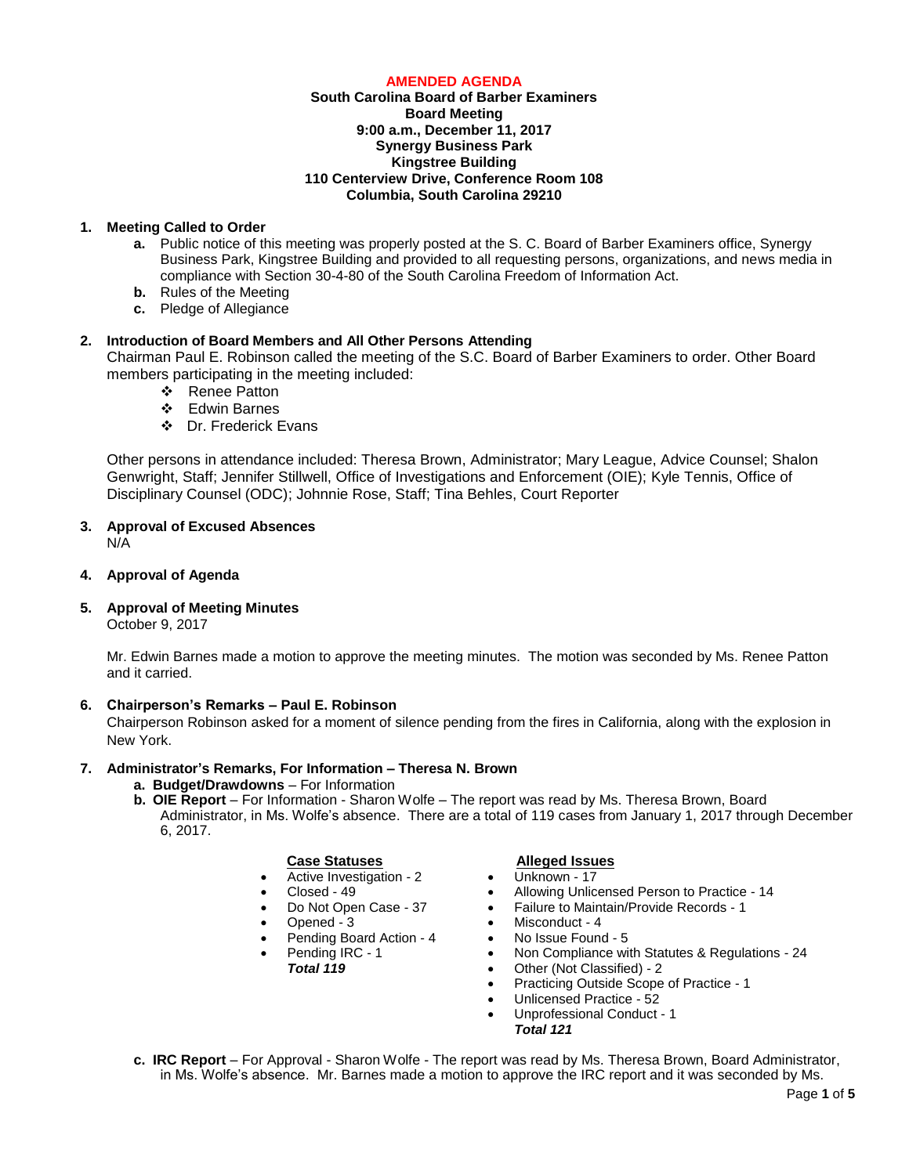## **AMENDED AGENDA**

## **South Carolina Board of Barber Examiners Board Meeting 9:00 a.m., December 11, 2017 Synergy Business Park Kingstree Building 110 Centerview Drive, Conference Room 108 Columbia, South Carolina 29210**

# **1. Meeting Called to Order**

- **a.** Public notice of this meeting was properly posted at the S. C. Board of Barber Examiners office, Synergy Business Park, Kingstree Building and provided to all requesting persons, organizations, and news media in compliance with Section 30-4-80 of the South Carolina Freedom of Information Act.
- **b.** Rules of the Meeting
- **c.** Pledge of Allegiance

# **2. Introduction of Board Members and All Other Persons Attending**

Chairman Paul E. Robinson called the meeting of the S.C. Board of Barber Examiners to order. Other Board members participating in the meeting included:

- ❖ Renee Patton
- Edwin Barnes
- Dr. Frederick Evans

Other persons in attendance included: Theresa Brown, Administrator; Mary League, Advice Counsel; Shalon Genwright, Staff; Jennifer Stillwell, Office of Investigations and Enforcement (OIE); Kyle Tennis, Office of Disciplinary Counsel (ODC); Johnnie Rose, Staff; Tina Behles, Court Reporter

#### **3. Approval of Excused Absences** N/A

## **4. Approval of Agenda**

**5. Approval of Meeting Minutes**

October 9, 2017

Mr. Edwin Barnes made a motion to approve the meeting minutes. The motion was seconded by Ms. Renee Patton and it carried.

# **6. Chairperson's Remarks – Paul E. Robinson**

Chairperson Robinson asked for a moment of silence pending from the fires in California, along with the explosion in New York.

## **7. Administrator's Remarks, For Information – Theresa N. Brown**

- **a. Budget/Drawdowns** For Information
- **b. OIE Report**  For Information Sharon Wolfe The report was read by Ms. Theresa Brown, Board Administrator, in Ms. Wolfe's absence. There are a total of 119 cases from January 1, 2017 through December 6, 2017.

## **Case Statuses Alleged Issues**

- Active Investigation 2
- Closed 49
- Do Not Open Case 37
- Opened 3
- Pending Board Action 4
	- Pending IRC 1 *Total 119*
		-

- Unknown 17
- Allowing Unlicensed Person to Practice 14
- Failure to Maintain/Provide Records 1
- Misconduct 4
- No Issue Found 5
- Non Compliance with Statutes & Regulations 24
- Other (Not Classified) 2
- Practicing Outside Scope of Practice 1
- Unlicensed Practice 52
- Unprofessional Conduct 1
	- *Total 121*
- **c. IRC Report**  For Approval Sharon Wolfe The report was read by Ms. Theresa Brown, Board Administrator, in Ms. Wolfe's absence. Mr. Barnes made a motion to approve the IRC report and it was seconded by Ms.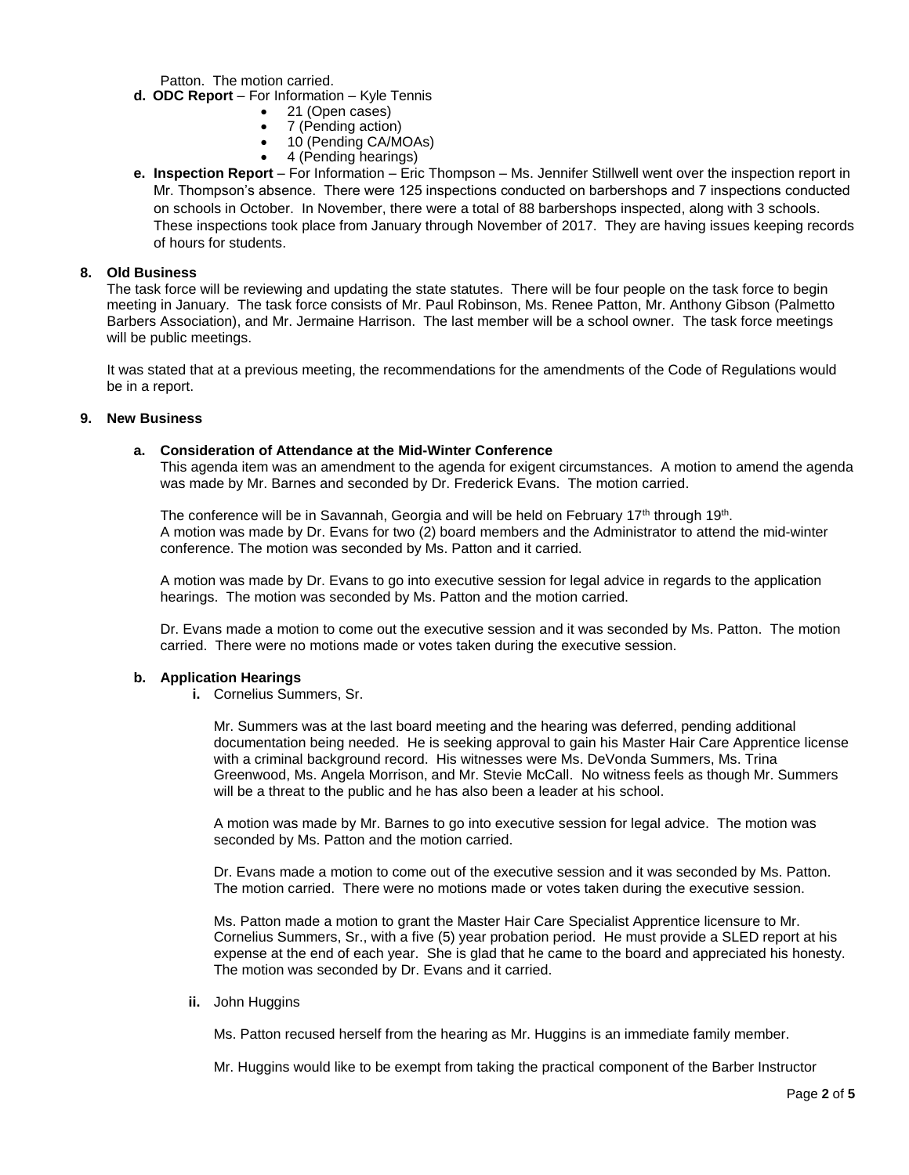Patton. The motion carried.

- **d. ODC Report**  For Information Kyle Tennis
	- 21 (Open cases)
	- 7 (Pending action)
	- 10 (Pending CA/MOAs)
	- 4 (Pending hearings)
- **e. Inspection Report** For Information Eric Thompson Ms. Jennifer Stillwell went over the inspection report in Mr. Thompson's absence. There were 125 inspections conducted on barbershops and 7 inspections conducted on schools in October. In November, there were a total of 88 barbershops inspected, along with 3 schools. These inspections took place from January through November of 2017. They are having issues keeping records of hours for students.

## **8. Old Business**

The task force will be reviewing and updating the state statutes. There will be four people on the task force to begin meeting in January. The task force consists of Mr. Paul Robinson, Ms. Renee Patton, Mr. Anthony Gibson (Palmetto Barbers Association), and Mr. Jermaine Harrison. The last member will be a school owner. The task force meetings will be public meetings.

It was stated that at a previous meeting, the recommendations for the amendments of the Code of Regulations would be in a report.

## **9. New Business**

## **a. Consideration of Attendance at the Mid-Winter Conference**

This agenda item was an amendment to the agenda for exigent circumstances. A motion to amend the agenda was made by Mr. Barnes and seconded by Dr. Frederick Evans. The motion carried.

The conference will be in Savannah, Georgia and will be held on February  $17<sup>th</sup>$  through  $19<sup>th</sup>$ . A motion was made by Dr. Evans for two (2) board members and the Administrator to attend the mid-winter conference. The motion was seconded by Ms. Patton and it carried.

A motion was made by Dr. Evans to go into executive session for legal advice in regards to the application hearings. The motion was seconded by Ms. Patton and the motion carried.

Dr. Evans made a motion to come out the executive session and it was seconded by Ms. Patton. The motion carried. There were no motions made or votes taken during the executive session.

# **b. Application Hearings**

**i.** Cornelius Summers, Sr.

Mr. Summers was at the last board meeting and the hearing was deferred, pending additional documentation being needed. He is seeking approval to gain his Master Hair Care Apprentice license with a criminal background record. His witnesses were Ms. DeVonda Summers, Ms. Trina Greenwood, Ms. Angela Morrison, and Mr. Stevie McCall. No witness feels as though Mr. Summers will be a threat to the public and he has also been a leader at his school.

A motion was made by Mr. Barnes to go into executive session for legal advice. The motion was seconded by Ms. Patton and the motion carried.

Dr. Evans made a motion to come out of the executive session and it was seconded by Ms. Patton. The motion carried. There were no motions made or votes taken during the executive session.

Ms. Patton made a motion to grant the Master Hair Care Specialist Apprentice licensure to Mr. Cornelius Summers, Sr., with a five (5) year probation period. He must provide a SLED report at his expense at the end of each year. She is glad that he came to the board and appreciated his honesty. The motion was seconded by Dr. Evans and it carried.

## **ii.** John Huggins

Ms. Patton recused herself from the hearing as Mr. Huggins is an immediate family member.

Mr. Huggins would like to be exempt from taking the practical component of the Barber Instructor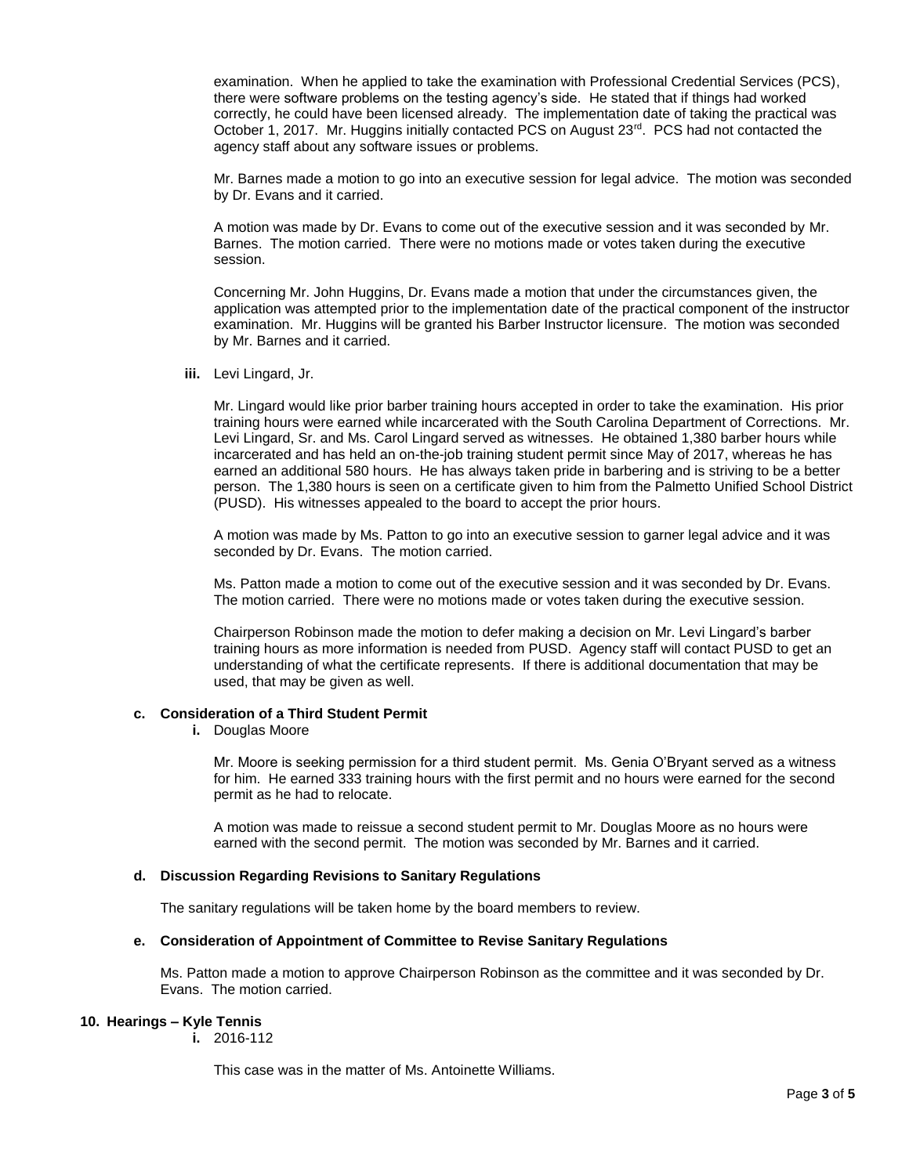examination. When he applied to take the examination with Professional Credential Services (PCS), there were software problems on the testing agency's side. He stated that if things had worked correctly, he could have been licensed already. The implementation date of taking the practical was October 1, 2017. Mr. Huggins initially contacted PCS on August  $23<sup>rd</sup>$ . PCS had not contacted the agency staff about any software issues or problems.

Mr. Barnes made a motion to go into an executive session for legal advice. The motion was seconded by Dr. Evans and it carried.

A motion was made by Dr. Evans to come out of the executive session and it was seconded by Mr. Barnes. The motion carried. There were no motions made or votes taken during the executive session.

Concerning Mr. John Huggins, Dr. Evans made a motion that under the circumstances given, the application was attempted prior to the implementation date of the practical component of the instructor examination. Mr. Huggins will be granted his Barber Instructor licensure. The motion was seconded by Mr. Barnes and it carried.

**iii.** Levi Lingard, Jr.

Mr. Lingard would like prior barber training hours accepted in order to take the examination. His prior training hours were earned while incarcerated with the South Carolina Department of Corrections. Mr. Levi Lingard, Sr. and Ms. Carol Lingard served as witnesses. He obtained 1,380 barber hours while incarcerated and has held an on-the-job training student permit since May of 2017, whereas he has earned an additional 580 hours. He has always taken pride in barbering and is striving to be a better person. The 1,380 hours is seen on a certificate given to him from the Palmetto Unified School District (PUSD). His witnesses appealed to the board to accept the prior hours.

A motion was made by Ms. Patton to go into an executive session to garner legal advice and it was seconded by Dr. Evans. The motion carried.

Ms. Patton made a motion to come out of the executive session and it was seconded by Dr. Evans. The motion carried. There were no motions made or votes taken during the executive session.

Chairperson Robinson made the motion to defer making a decision on Mr. Levi Lingard's barber training hours as more information is needed from PUSD. Agency staff will contact PUSD to get an understanding of what the certificate represents. If there is additional documentation that may be used, that may be given as well.

## **c. Consideration of a Third Student Permit**

**i.** Douglas Moore

Mr. Moore is seeking permission for a third student permit. Ms. Genia O'Bryant served as a witness for him. He earned 333 training hours with the first permit and no hours were earned for the second permit as he had to relocate.

A motion was made to reissue a second student permit to Mr. Douglas Moore as no hours were earned with the second permit. The motion was seconded by Mr. Barnes and it carried.

## **d. Discussion Regarding Revisions to Sanitary Regulations**

The sanitary regulations will be taken home by the board members to review.

#### **e. Consideration of Appointment of Committee to Revise Sanitary Regulations**

Ms. Patton made a motion to approve Chairperson Robinson as the committee and it was seconded by Dr. Evans. The motion carried.

#### **10. Hearings – Kyle Tennis**

**i.** 2016-112

This case was in the matter of Ms. Antoinette Williams.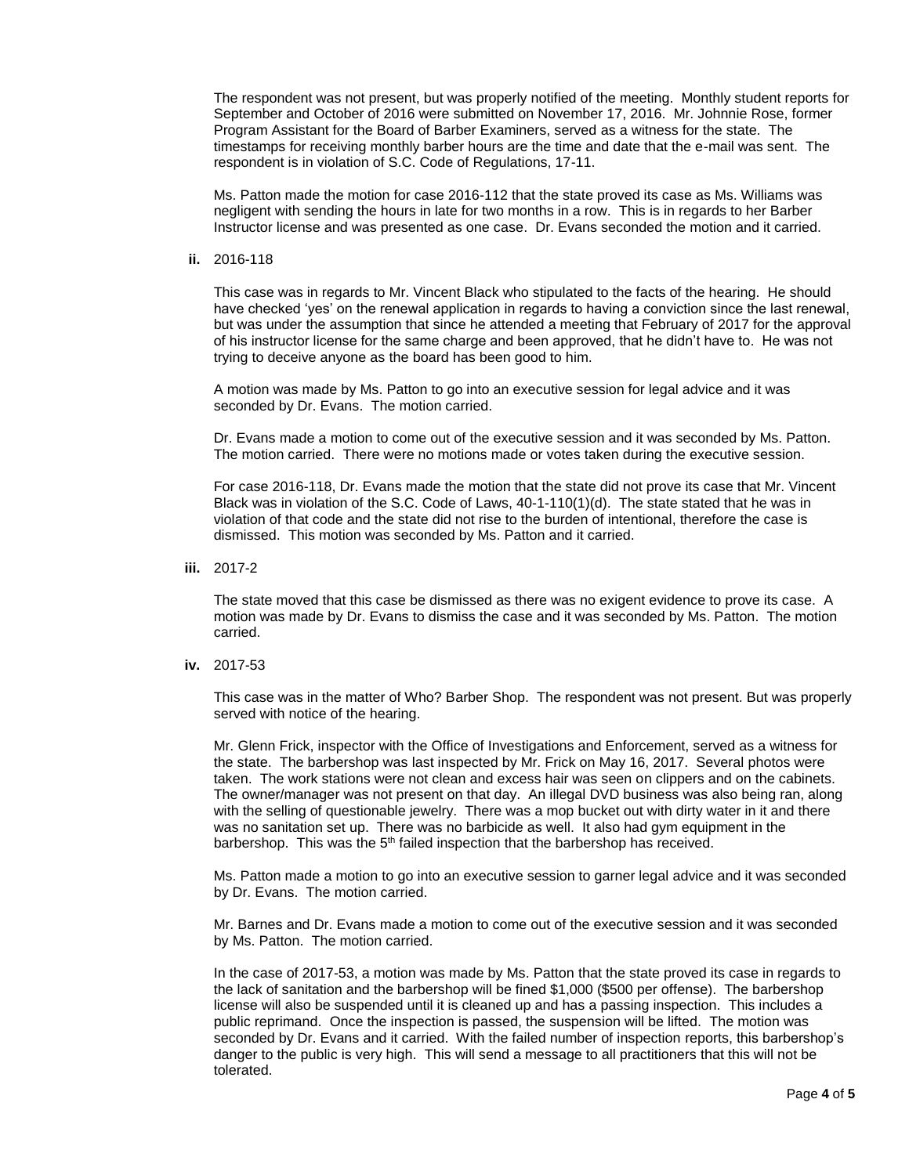The respondent was not present, but was properly notified of the meeting. Monthly student reports for September and October of 2016 were submitted on November 17, 2016. Mr. Johnnie Rose, former Program Assistant for the Board of Barber Examiners, served as a witness for the state. The timestamps for receiving monthly barber hours are the time and date that the e-mail was sent. The respondent is in violation of S.C. Code of Regulations, 17-11.

Ms. Patton made the motion for case 2016-112 that the state proved its case as Ms. Williams was negligent with sending the hours in late for two months in a row. This is in regards to her Barber Instructor license and was presented as one case. Dr. Evans seconded the motion and it carried.

**ii.** 2016-118

This case was in regards to Mr. Vincent Black who stipulated to the facts of the hearing. He should have checked 'yes' on the renewal application in regards to having a conviction since the last renewal, but was under the assumption that since he attended a meeting that February of 2017 for the approval of his instructor license for the same charge and been approved, that he didn't have to. He was not trying to deceive anyone as the board has been good to him.

A motion was made by Ms. Patton to go into an executive session for legal advice and it was seconded by Dr. Evans. The motion carried.

Dr. Evans made a motion to come out of the executive session and it was seconded by Ms. Patton. The motion carried. There were no motions made or votes taken during the executive session.

For case 2016-118, Dr. Evans made the motion that the state did not prove its case that Mr. Vincent Black was in violation of the S.C. Code of Laws, 40-1-110(1)(d). The state stated that he was in violation of that code and the state did not rise to the burden of intentional, therefore the case is dismissed. This motion was seconded by Ms. Patton and it carried.

**iii.** 2017-2

The state moved that this case be dismissed as there was no exigent evidence to prove its case. A motion was made by Dr. Evans to dismiss the case and it was seconded by Ms. Patton. The motion carried.

**iv.** 2017-53

This case was in the matter of Who? Barber Shop. The respondent was not present. But was properly served with notice of the hearing.

Mr. Glenn Frick, inspector with the Office of Investigations and Enforcement, served as a witness for the state. The barbershop was last inspected by Mr. Frick on May 16, 2017. Several photos were taken. The work stations were not clean and excess hair was seen on clippers and on the cabinets. The owner/manager was not present on that day. An illegal DVD business was also being ran, along with the selling of questionable jewelry. There was a mop bucket out with dirty water in it and there was no sanitation set up. There was no barbicide as well. It also had gym equipment in the barbershop. This was the  $5<sup>th</sup>$  failed inspection that the barbershop has received.

Ms. Patton made a motion to go into an executive session to garner legal advice and it was seconded by Dr. Evans. The motion carried.

Mr. Barnes and Dr. Evans made a motion to come out of the executive session and it was seconded by Ms. Patton. The motion carried.

In the case of 2017-53, a motion was made by Ms. Patton that the state proved its case in regards to the lack of sanitation and the barbershop will be fined \$1,000 (\$500 per offense). The barbershop license will also be suspended until it is cleaned up and has a passing inspection. This includes a public reprimand. Once the inspection is passed, the suspension will be lifted. The motion was seconded by Dr. Evans and it carried. With the failed number of inspection reports, this barbershop's danger to the public is very high. This will send a message to all practitioners that this will not be tolerated.